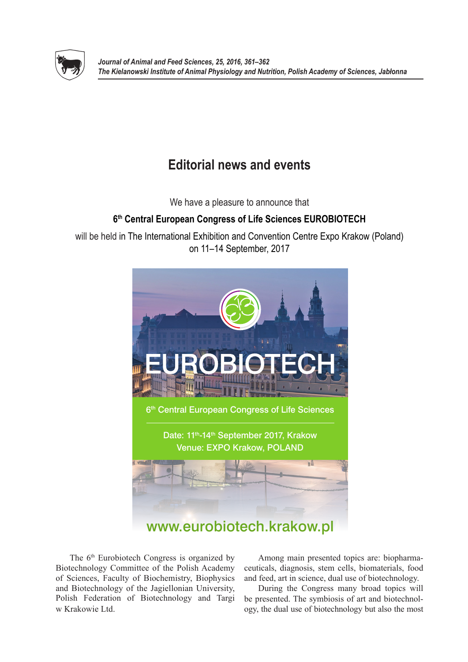

## **Editorial news and events**

We have a pleasure to announce that

## **6th Central European Congress of Life Sciences EUROBIOTECH**

will be held in The International Exhibition and Convention Centre Expo Krakow (Poland) on 11–14 September, 2017



The 6<sup>th</sup> Eurobiotech Congress is organized by Biotechnology Committee of the Polish Academy of Sciences, Faculty of Biochemistry, Biophysics and Biotechnology of the Jagiellonian University, Polish Federation of Biotechnology and Targi w Krakowie Ltd.

Among main presented topics are: biopharmaceuticals, diagnosis, stem cells, biomaterials, food and feed, art in science, dual use of biotechnology.

During the Congress many broad topics will be presented. The symbiosis of art and biotechnology, the dual use of biotechnology but also the most